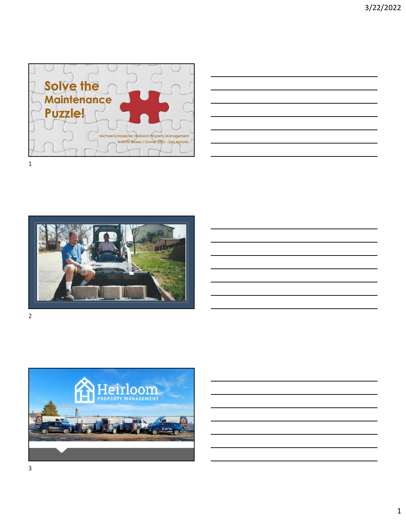

| the contract of the contract of the contract of the contract of the contract of |  |  |
|---------------------------------------------------------------------------------|--|--|
|                                                                                 |  |  |
|                                                                                 |  |  |
|                                                                                 |  |  |



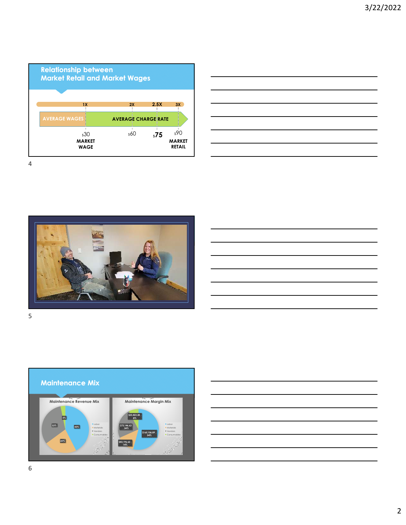









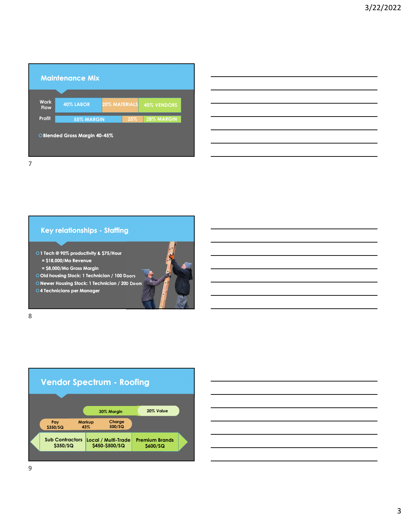|                            | <b>Maintenance Mix</b>        |                      |     |                    |  |
|----------------------------|-------------------------------|----------------------|-----|--------------------|--|
| <b>Work</b><br><b>Flow</b> | 40% LABOR                     | <b>20% MATERIALS</b> |     | <b>40% VENDORS</b> |  |
| Profit                     | 55% MARGIN                    |                      | 25% | 28% MARGIN         |  |
|                            | O Blended Gross Margin 40-45% |                      |     |                    |  |

### **Key relationships - Staffing**

**1 Tech @ 90% productivity & \$75/Hour = \$18,000/Mo Revenue** 

**= \$8,000/Mo Gross Margin**

**Old housing Stock: 1 Technician / 100 Doors**

**Newer Housing Stock: 1 Technician / 200 Doors**

**4 Technicians per Manager**

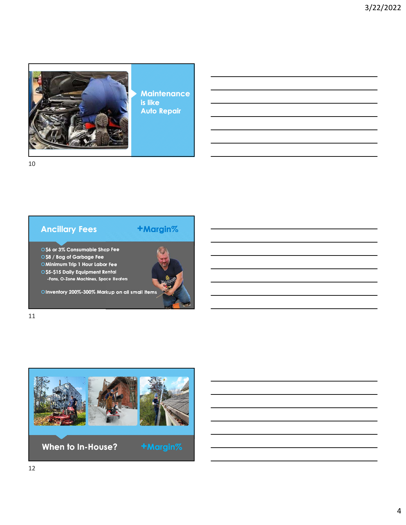

**Maintenance is like Auto Repair**



# **Ancillary Fees +Margin%**

**0\$6 or 3% Consumable Shop Fee \$8 / Bag of Garbage Fee**

**Minimum Trip 1 Hour Labor Fee \$5-\$15 Daily Equipment Rental** 

**-Fans, O-Zone Machines, Space Heaters**

**Inventory 200%-300% Markup on all small Items**



11

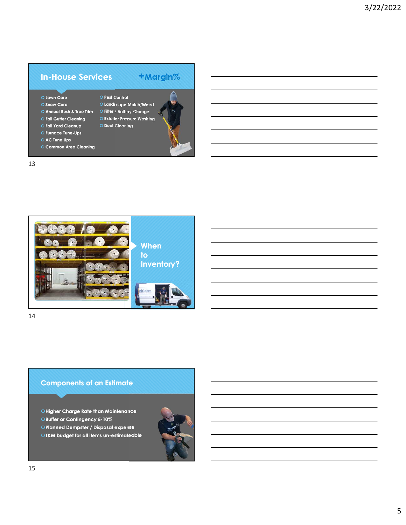### **In-House Services +Margin%**

- **Lawn Care Snow Care**
- **Filter / Battery Change Annual Bush & Tree Trim**
- **Fall Gutter Cleaning**
- **Fall Yard Cleanup**
- **Furnace Tune-Ups**
- **AC Tune Ups**

13

- **Common Area Cleaning**
- 





**Pest Control**

**Duct Cleaning**

14

#### **Components of an Estimate**

**Higher Charge Rate than Maintenance**

**Buffer or Contingency 5-10%** 

**Planned Dumpster / Disposal expense**

**T&M budget for all items un-estimateable**

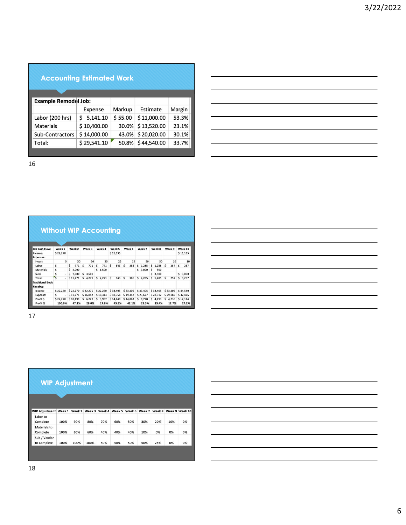## **Accounting Estimated Work**

| <b>Example Remodel Job:</b> |             |         |                   |        |
|-----------------------------|-------------|---------|-------------------|--------|
|                             | Expense     | Markup  | Estimate          | Margin |
| Labor (200 hrs)             | \$5,141.10  | \$55.00 | \$11,000.00       | 53.3%  |
| <b>Materials</b>            | \$10,400.00 |         | 30.0% \$13,520.00 | 23.1%  |
| Sub-Contractors             | \$14,000.00 |         | 43.0% \$20,020.00 | 30.1%  |
| Total:                      | \$29,541.10 |         | 50.8% \$44,540.00 | 33.7%  |

16

|                                     |              | <b>Without WIP Accounting</b> |             |              |          |          |              |             |            |             |
|-------------------------------------|--------------|-------------------------------|-------------|--------------|----------|----------|--------------|-------------|------------|-------------|
|                                     |              |                               |             |              |          |          |              |             |            |             |
| <b>Job Cash Flow:</b>               | Week 1       | Week 2                        | Week 3      | Week 4       | Week 5   | Week 6   | Week 7       | Week 8      | Week 9     | Week 10     |
| Income:                             | \$22,270     |                               |             |              | \$11,135 |          |              |             |            | \$11,135    |
| <b>Expenses:</b>                    |              |                               |             |              |          |          |              |             |            |             |
| Hours                               | $\mathbf{0}$ | 30                            | 30          | 30           | 25       | 15       | 50           | 50          | 10         | 10          |
| Labor                               | Ś<br>×.      | Ś<br>771                      | Ś<br>771    | \$.<br>771   | Ŝ<br>643 | Ś<br>386 | 1.285<br>S   | 1.285<br>Ŝ  | Ś<br>257   | 257<br>\$.  |
| <b>Materials</b>                    | \$<br>×.     | \$<br>4,000                   |             | \$1,500      |          |          | s<br>3,000   | \$<br>500   |            |             |
| Subs                                | Ś<br>÷.      | 7,000<br>Ś.                   | Ś.<br>3,500 |              |          |          |              | 3,500<br>Ś. |            | Š.<br>3,000 |
| Total:                              | ś<br>×       | \$11,771                      | Ś<br>4,271  | \$.<br>2.271 | Ś<br>643 | Ś<br>386 | \$.<br>4.285 | 5.285<br>s  | Ś<br>257   | Ś.<br>3.257 |
| <b>Traditional Book</b><br>Keeping: |              |                               |             |              |          |          |              |             |            |             |
| Income                              | \$22,270     | \$22,270                      | \$22,270    | \$22,270     | \$33,405 | \$33,405 | \$33,405     | \$33,405    | \$33,405   | \$44,540    |
| <b>Expenses</b>                     | Ś            | \$11,771                      | \$16,042    | \$18,313     | \$18,956 | \$19,342 | \$23,627     | \$28,912    | \$29,169   | \$32,426    |
| Profit S                            | \$22,270     | \$10,499                      | Ś.<br>6,228 | Ś<br>3,957   | \$14,449 | \$14,063 | s<br>9,778   | s<br>4,493  | Ś<br>4,236 | \$12,114    |
| Profit %                            | 100.0%       | 47.1%                         | 28.0%       | 17.8%        | 43.3%    | 42.1%    | 29.3%        | 13.4%       | 12.7%      | 27.2%       |

17

| <b>WIP Adjustment</b>        |      |      |               |     |               |        |        |        |     |                |
|------------------------------|------|------|---------------|-----|---------------|--------|--------|--------|-----|----------------|
|                              |      |      |               |     |               |        |        |        |     |                |
| <b>WIP Adjustment Week 1</b> |      |      | Week 2 Week 3 |     | Week 4 Week 5 | Week 6 | Week 7 | Week 8 |     | Week 9 Week 10 |
| Labor to<br>Complete         | 100% | 90%  | 80%           | 70% | 60%           | 50%    | 30%    | 20%    | 10% | 0%             |
| Materials to<br>Complete     | 100% | 60%  | 60%           | 40% | 40%           | 40%    | 10%    | 0%     | 0%  | 0%             |
| Sub / Vendor<br>to Complete  | 100% | 100% | 100%          | 50% | 50%           | 50%    | 50%    | 25%    | 0%  | 0%             |